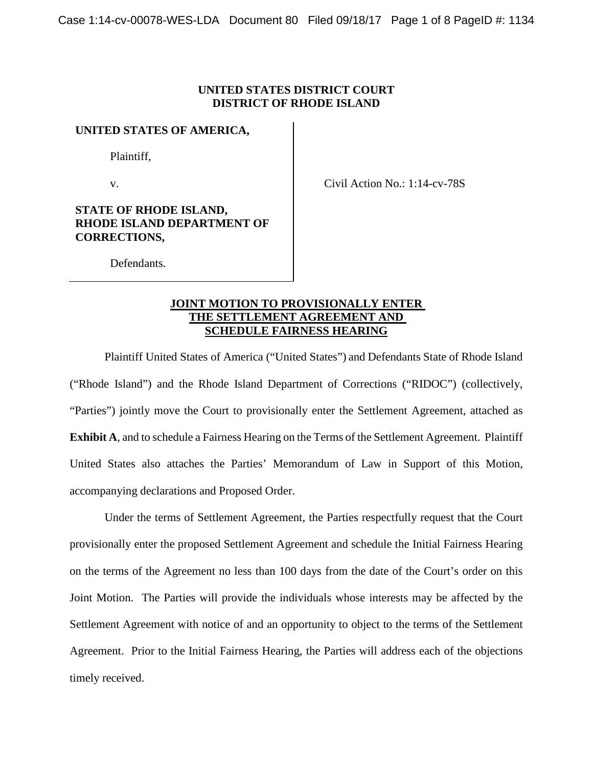# **UNITED STATES DISTRICT COURT DISTRICT OF RHODE ISLAND**

#### **UNITED STATES OF AMERICA,**

Plaintiff,

v.

Civil Action No.: 1:14-cv-78S

# **STATE OF RHODE ISLAND, RHODE ISLAND DEPARTMENT OF CORRECTIONS,**

Defendants.

# **JOINT MOTION TO PROVISIONALLY ENTER THE SETTLEMENT AGREEMENT AND SCHEDULE FAIRNESS HEARING**

Plaintiff United States of America ("United States") and Defendants State of Rhode Island ("Rhode Island") and the Rhode Island Department of Corrections ("RIDOC") (collectively, "Parties") jointly move the Court to provisionally enter the Settlement Agreement, attached as **Exhibit A**, and to schedule a Fairness Hearing on the Terms of the Settlement Agreement. Plaintiff United States also attaches the Parties' Memorandum of Law in Support of this Motion, accompanying declarations and Proposed Order.

Under the terms of Settlement Agreement, the Parties respectfully request that the Court provisionally enter the proposed Settlement Agreement and schedule the Initial Fairness Hearing on the terms of the Agreement no less than 100 days from the date of the Court's order on this Joint Motion. The Parties will provide the individuals whose interests may be affected by the Settlement Agreement with notice of and an opportunity to object to the terms of the Settlement Agreement. Prior to the Initial Fairness Hearing, the Parties will address each of the objections timely received.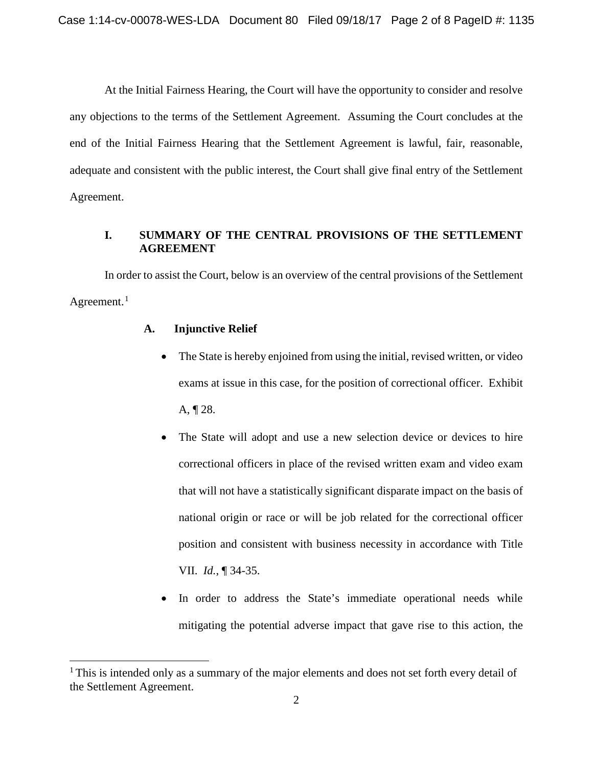At the Initial Fairness Hearing, the Court will have the opportunity to consider and resolve any objections to the terms of the Settlement Agreement. Assuming the Court concludes at the end of the Initial Fairness Hearing that the Settlement Agreement is lawful, fair, reasonable, adequate and consistent with the public interest, the Court shall give final entry of the Settlement Agreement.

# **I. SUMMARY OF THE CENTRAL PROVISIONS OF THE SETTLEMENT AGREEMENT**

In order to assist the Court, below is an overview of the central provisions of the Settlement Agreement. $1$ 

# **A. Injunctive Relief**

- The State is hereby enjoined from using the initial, revised written, or video exams at issue in this case, for the position of correctional officer. Exhibit A, ¶ 28.
- The State will adopt and use a new selection device or devices to hire correctional officers in place of the revised written exam and video exam that will not have a statistically significant disparate impact on the basis of national origin or race or will be job related for the correctional officer position and consistent with business necessity in accordance with Title VII. *Id.*, ¶ 34-35.
- In order to address the State's immediate operational needs while mitigating the potential adverse impact that gave rise to this action, the

<span id="page-1-0"></span><sup>&</sup>lt;sup>1</sup> This is intended only as a summary of the major elements and does not set forth every detail of the Settlement Agreement.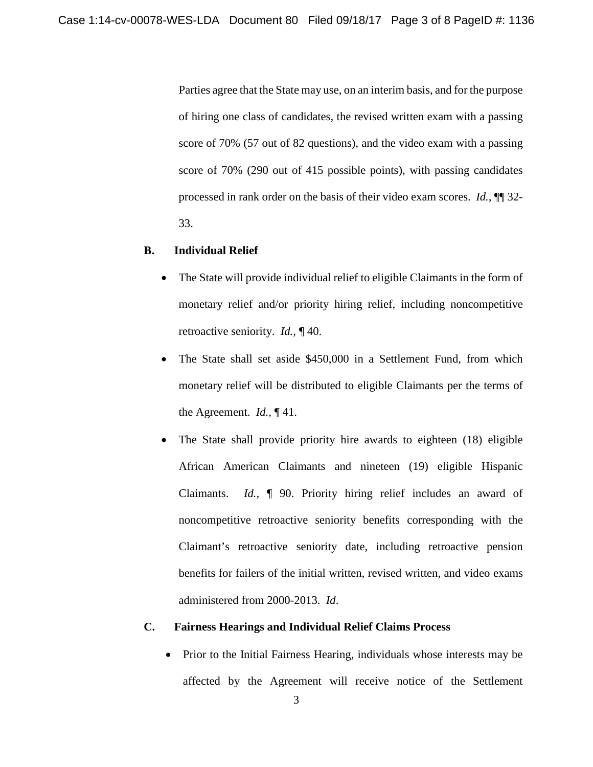Parties agree that the State may use, on an interim basis, and for the purpose of hiring one class of candidates, the revised written exam with a passing score of 70% (57 out of 82 questions), and the video exam with a passing score of 70% (290 out of 415 possible points), with passing candidates processed in rank order on the basis of their video exam scores. *Id.,* ¶¶ 32- 33.

#### **B. Individual Relief**

- The State will provide individual relief to eligible Claimants in the form of monetary relief and/or priority hiring relief, including noncompetitive retroactive seniority. *Id.,* ¶ 40.
- The State shall set aside \$450,000 in a Settlement Fund, from which monetary relief will be distributed to eligible Claimants per the terms of the Agreement. *Id.,* ¶ 41.
- The State shall provide priority hire awards to eighteen (18) eligible African American Claimants and nineteen (19) eligible Hispanic Claimants. *Id.,* ¶ 90. Priority hiring relief includes an award of noncompetitive retroactive seniority benefits corresponding with the Claimant's retroactive seniority date, including retroactive pension benefits for failers of the initial written, revised written, and video exams administered from 2000-2013. *Id*.

#### **C. Fairness Hearings and Individual Relief Claims Process**

• Prior to the Initial Fairness Hearing, individuals whose interests may be affected by the Agreement will receive notice of the Settlement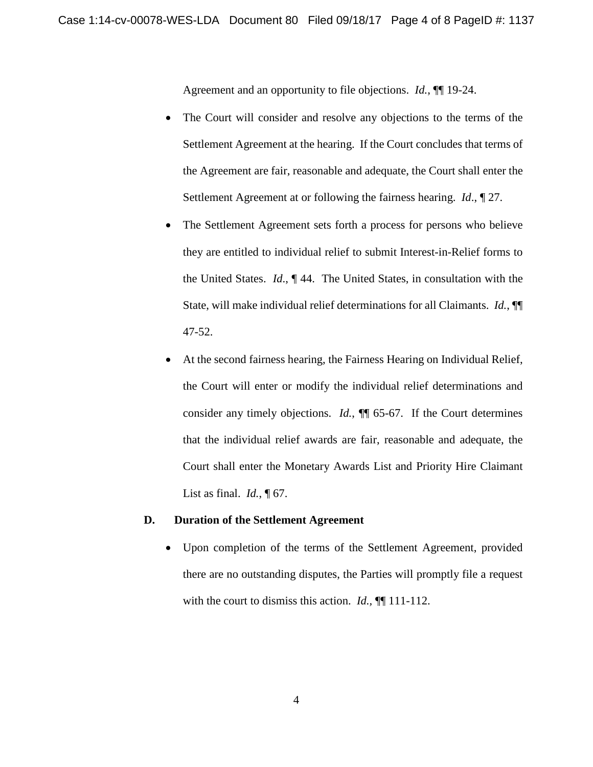Agreement and an opportunity to file objections. *Id.*, ¶¶ 19-24.

- The Court will consider and resolve any objections to the terms of the Settlement Agreement at the hearing. If the Court concludes that terms of the Agreement are fair, reasonable and adequate, the Court shall enter the Settlement Agreement at or following the fairness hearing. *Id*., ¶ 27.
- The Settlement Agreement sets forth a process for persons who believe they are entitled to individual relief to submit Interest-in-Relief forms to the United States. *Id*., ¶ 44. The United States, in consultation with the State, will make individual relief determinations for all Claimants. *Id.*, ¶¶ 47-52.
- At the second fairness hearing, the Fairness Hearing on Individual Relief, the Court will enter or modify the individual relief determinations and consider any timely objections. *Id.*, ¶¶ 65-67. If the Court determines that the individual relief awards are fair, reasonable and adequate, the Court shall enter the Monetary Awards List and Priority Hire Claimant List as final. *Id.*, ¶ 67.

#### **D. Duration of the Settlement Agreement**

• Upon completion of the terms of the Settlement Agreement, provided there are no outstanding disputes, the Parties will promptly file a request with the court to dismiss this action. *Id.*,  $\P$ [111-112.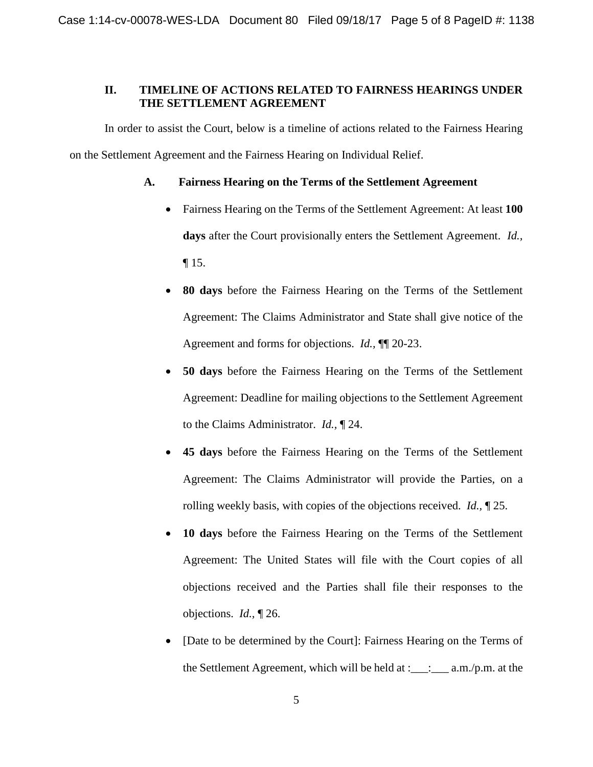# **II. TIMELINE OF ACTIONS RELATED TO FAIRNESS HEARINGS UNDER THE SETTLEMENT AGREEMENT**

In order to assist the Court, below is a timeline of actions related to the Fairness Hearing on the Settlement Agreement and the Fairness Hearing on Individual Relief.

# **A. Fairness Hearing on the Terms of the Settlement Agreement**

- Fairness Hearing on the Terms of the Settlement Agreement: At least **100 days** after the Court provisionally enters the Settlement Agreement. *Id.,*  ¶ 15.
- **80 days** before the Fairness Hearing on the Terms of the Settlement Agreement: The Claims Administrator and State shall give notice of the Agreement and forms for objections. *Id.,* ¶¶ 20-23.
- **50 days** before the Fairness Hearing on the Terms of the Settlement Agreement: Deadline for mailing objections to the Settlement Agreement to the Claims Administrator. *Id.,* ¶ 24.
- **45 days** before the Fairness Hearing on the Terms of the Settlement Agreement: The Claims Administrator will provide the Parties, on a rolling weekly basis, with copies of the objections received. *Id.,* ¶ 25.
- **10 days** before the Fairness Hearing on the Terms of the Settlement Agreement: The United States will file with the Court copies of all objections received and the Parties shall file their responses to the objections. *Id.,* ¶ 26.
- [Date to be determined by the Court]: Fairness Hearing on the Terms of the Settlement Agreement, which will be held at : $\Box$ : \_\_\_\_ a.m./p.m. at the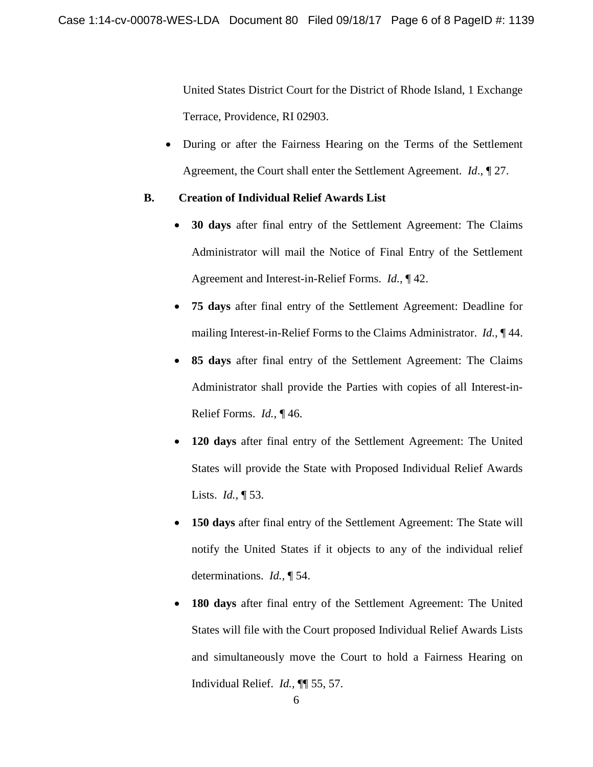United States District Court for the District of Rhode Island, 1 Exchange Terrace, Providence, RI 02903.

• During or after the Fairness Hearing on the Terms of the Settlement Agreement, the Court shall enter the Settlement Agreement. *Id*., ¶ 27.

# **B. Creation of Individual Relief Awards List**

- **30 days** after final entry of the Settlement Agreement: The Claims Administrator will mail the Notice of Final Entry of the Settlement Agreement and Interest-in-Relief Forms. *Id.,* ¶ 42.
- **75 days** after final entry of the Settlement Agreement: Deadline for mailing Interest-in-Relief Forms to the Claims Administrator. *Id.,* ¶ 44.
- **85 days** after final entry of the Settlement Agreement: The Claims Administrator shall provide the Parties with copies of all Interest-in-Relief Forms. *Id.,* ¶ 46.
- **120 days** after final entry of the Settlement Agreement: The United States will provide the State with Proposed Individual Relief Awards Lists. *Id.,* ¶ 53.
- **150 days** after final entry of the Settlement Agreement: The State will notify the United States if it objects to any of the individual relief determinations. *Id.,* ¶ 54.
- **180 days** after final entry of the Settlement Agreement: The United States will file with the Court proposed Individual Relief Awards Lists and simultaneously move the Court to hold a Fairness Hearing on Individual Relief. *Id.,* ¶¶ 55, 57.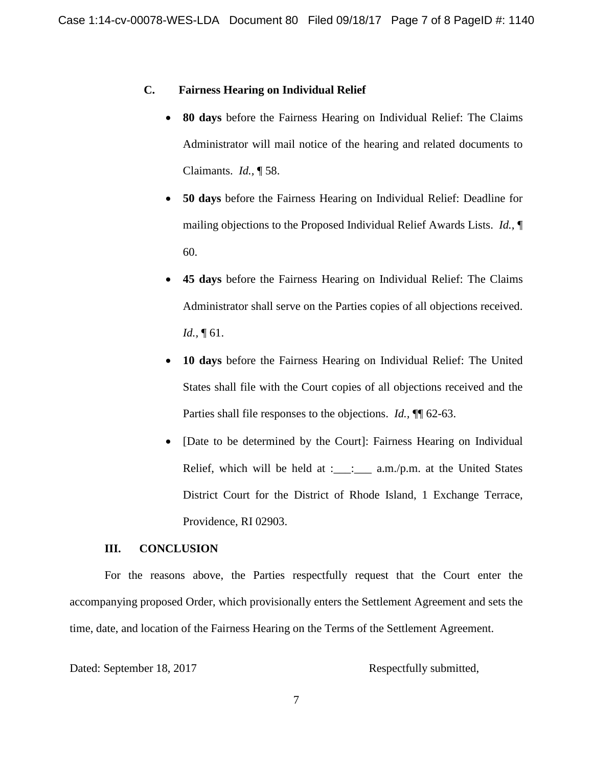#### **C. Fairness Hearing on Individual Relief**

- **80 days** before the Fairness Hearing on Individual Relief: The Claims Administrator will mail notice of the hearing and related documents to Claimants. *Id.,* ¶ 58.
- **50 days** before the Fairness Hearing on Individual Relief: Deadline for mailing objections to the Proposed Individual Relief Awards Lists. *Id.,* ¶ 60.
- **45 days** before the Fairness Hearing on Individual Relief: The Claims Administrator shall serve on the Parties copies of all objections received. *Id.,* ¶ 61.
- **10 days** before the Fairness Hearing on Individual Relief: The United States shall file with the Court copies of all objections received and the Parties shall file responses to the objections. *Id.,* ¶¶ 62-63.
- [Date to be determined by the Court]: Fairness Hearing on Individual Relief, which will be held at : $\frac{1}{2}$  a.m./p.m. at the United States District Court for the District of Rhode Island, 1 Exchange Terrace, Providence, RI 02903.

### **III. CONCLUSION**

For the reasons above, the Parties respectfully request that the Court enter the accompanying proposed Order, which provisionally enters the Settlement Agreement and sets the time, date, and location of the Fairness Hearing on the Terms of the Settlement Agreement.

Dated: September 18, 2017 Respectfully submitted,